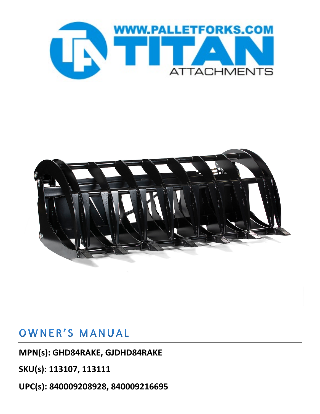



## OWNER'S MANUAL

**MPN(s): GHD84RAKE, GJDHD84RAKE**

**SKU(s): 113107, 113111**

**UPC(s): 840009208928, 840009216695**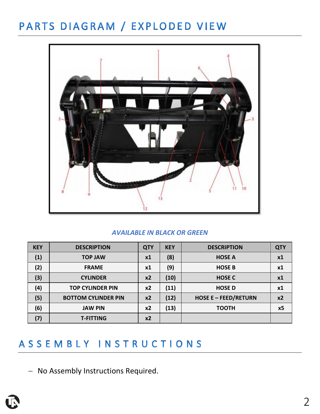## PARTS DIAGRAM / EXPLODED VIEW



#### *AVAILABLE IN BLACK OR GREEN*

| <b>KEY</b> | <b>DESCRIPTION</b>         | <b>QTY</b> | <b>KEY</b> | <b>DESCRIPTION</b>          | <b>QTY</b>     |
|------------|----------------------------|------------|------------|-----------------------------|----------------|
| (1)        | <b>TOP JAW</b>             | x1         | (8)        | <b>HOSE A</b>               | x1             |
| (2)        | <b>FRAME</b>               | <b>x1</b>  | (9)        | <b>HOSE B</b>               | x1             |
| (3)        | <b>CYLINDER</b>            | $x^2$      | (10)       | <b>HOSE C</b>               | x1             |
| (4)        | <b>TOP CYLINDER PIN</b>    | x2         | (11)       | <b>HOSE D</b>               | x1             |
| (5)        | <b>BOTTOM CYLINDER PIN</b> | $x^2$      | (12)       | <b>HOSE E - FEED/RETURN</b> | x2             |
| (6)        | <b>JAW PIN</b>             | x2         | (13)       | <b>TOOTH</b>                | x <sub>5</sub> |
| (7)        | <b>T-FITTING</b>           | x2         |            |                             |                |

#### ASSEMBLY INSTRUCTIONS

− No Assembly Instructions Required.